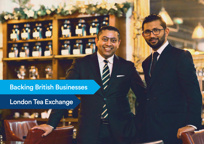## Backing British Businesses

## London Tea Exchange